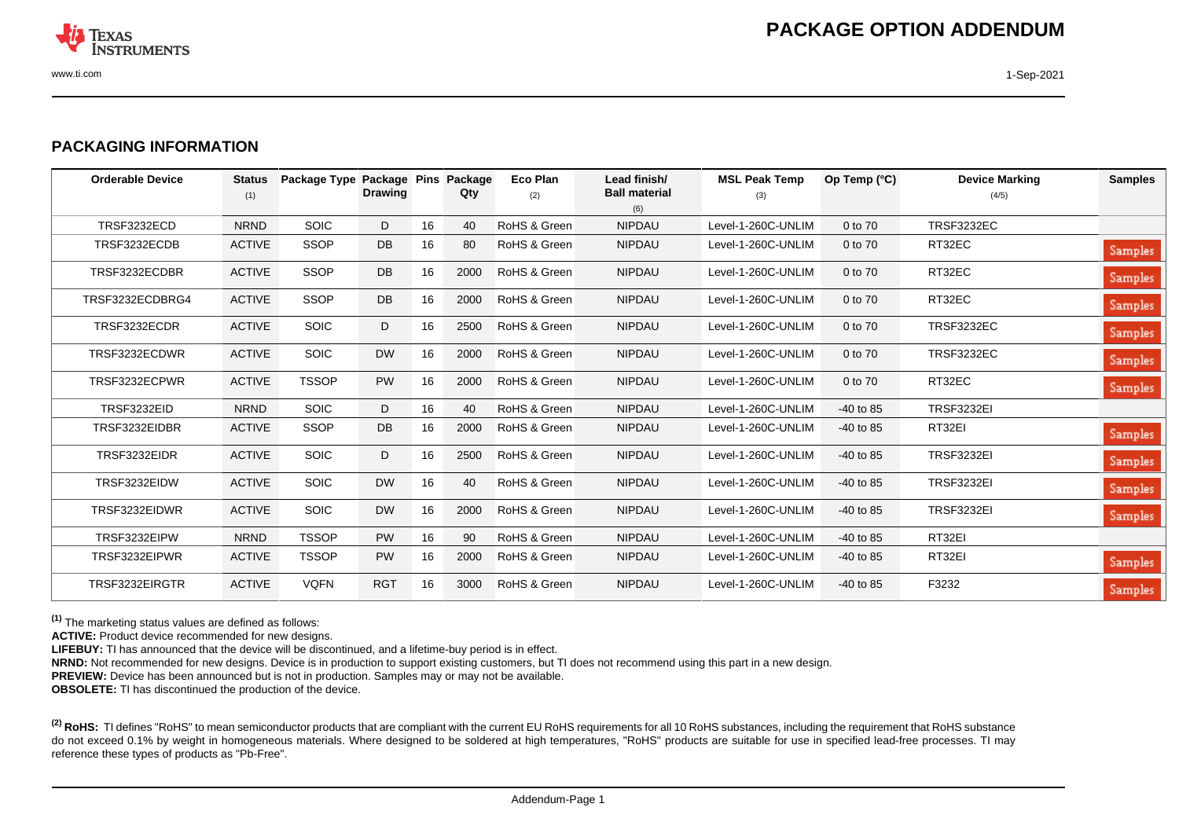

## **PACKAGING INFORMATION**

| <b>Orderable Device</b> | <b>Status</b><br>(1) | Package Type Package Pins | <b>Drawing</b> |    | Package<br>Qty | Eco Plan<br>(2) | Lead finish/<br><b>Ball material</b><br>(6) | <b>MSL Peak Temp</b><br>(3) | Op Temp (°C) | <b>Device Marking</b><br>(4/5) | <b>Samples</b> |
|-------------------------|----------------------|---------------------------|----------------|----|----------------|-----------------|---------------------------------------------|-----------------------------|--------------|--------------------------------|----------------|
| <b>TRSF3232ECD</b>      | <b>NRND</b>          | <b>SOIC</b>               | D              | 16 | 40             | RoHS & Green    | <b>NIPDAU</b>                               | Level-1-260C-UNLIM          | 0 to 70      | <b>TRSF3232EC</b>              |                |
| TRSF3232ECDB            | <b>ACTIVE</b>        | <b>SSOP</b>               | DB             | 16 | 80             | RoHS & Green    | <b>NIPDAU</b>                               | Level-1-260C-UNLIM          | 0 to 70      | RT32EC                         | Samples        |
| TRSF3232ECDBR           | <b>ACTIVE</b>        | <b>SSOP</b>               | DB             | 16 | 2000           | RoHS & Green    | <b>NIPDAU</b>                               | Level-1-260C-UNLIM          | 0 to 70      | RT32EC                         | Samples        |
| TRSF3232ECDBRG4         | <b>ACTIVE</b>        | <b>SSOP</b>               | DB             | 16 | 2000           | RoHS & Green    | <b>NIPDAU</b>                               | Level-1-260C-UNLIM          | 0 to 70      | RT32EC                         | Samples        |
| TRSF3232ECDR            | <b>ACTIVE</b>        | <b>SOIC</b>               | D              | 16 | 2500           | RoHS & Green    | <b>NIPDAU</b>                               | Level-1-260C-UNLIM          | 0 to 70      | <b>TRSF3232EC</b>              | Samples        |
| TRSF3232ECDWR           | <b>ACTIVE</b>        | <b>SOIC</b>               | <b>DW</b>      | 16 | 2000           | RoHS & Green    | <b>NIPDAU</b>                               | Level-1-260C-UNLIM          | 0 to 70      | <b>TRSF3232EC</b>              | Samples        |
| TRSF3232ECPWR           | <b>ACTIVE</b>        | <b>TSSOP</b>              | <b>PW</b>      | 16 | 2000           | RoHS & Green    | <b>NIPDAU</b>                               | Level-1-260C-UNLIM          | 0 to 70      | RT32EC                         | Samples        |
| TRSF3232EID             | <b>NRND</b>          | <b>SOIC</b>               | D              | 16 | 40             | RoHS & Green    | <b>NIPDAU</b>                               | Level-1-260C-UNLIM          | $-40$ to 85  | <b>TRSF3232EI</b>              |                |
| TRSF3232EIDBR           | <b>ACTIVE</b>        | <b>SSOP</b>               | DB             | 16 | 2000           | RoHS & Green    | <b>NIPDAU</b>                               | Level-1-260C-UNLIM          | $-40$ to 85  | RT32EI                         | Samples        |
| TRSF3232EIDR            | <b>ACTIVE</b>        | <b>SOIC</b>               | D              | 16 | 2500           | RoHS & Green    | <b>NIPDAU</b>                               | Level-1-260C-UNLIM          | $-40$ to 85  | <b>TRSF3232EI</b>              | Samples        |
| TRSF3232EIDW            | <b>ACTIVE</b>        | <b>SOIC</b>               | <b>DW</b>      | 16 | 40             | RoHS & Green    | <b>NIPDAU</b>                               | Level-1-260C-UNLIM          | $-40$ to 85  | <b>TRSF3232EI</b>              | Samples        |
| TRSF3232EIDWR           | <b>ACTIVE</b>        | <b>SOIC</b>               | <b>DW</b>      | 16 | 2000           | RoHS & Green    | <b>NIPDAU</b>                               | Level-1-260C-UNLIM          | $-40$ to 85  | <b>TRSF3232EI</b>              | Samples        |
| TRSF3232EIPW            | <b>NRND</b>          | <b>TSSOP</b>              | <b>PW</b>      | 16 | 90             | RoHS & Green    | <b>NIPDAU</b>                               | Level-1-260C-UNLIM          | $-40$ to 85  | RT32EI                         |                |
| TRSF3232EIPWR           | <b>ACTIVE</b>        | <b>TSSOP</b>              | <b>PW</b>      | 16 | 2000           | RoHS & Green    | <b>NIPDAU</b>                               | Level-1-260C-UNLIM          | $-40$ to 85  | RT32EI                         | Samples        |
| TRSF3232EIRGTR          | <b>ACTIVE</b>        | <b>VQFN</b>               | <b>RGT</b>     | 16 | 3000           | RoHS & Green    | <b>NIPDAU</b>                               | Level-1-260C-UNLIM          | $-40$ to 85  | F3232                          | Samples        |

**(1)** The marketing status values are defined as follows:

**ACTIVE:** Product device recommended for new designs.

LIFEBUY: TI has announced that the device will be discontinued, and a lifetime-buy period is in effect.

**NRND:** Not recommended for new designs. Device is in production to support existing customers, but TI does not recommend using this part in a new design.

**PREVIEW:** Device has been announced but is not in production. Samples may or may not be available.

**OBSOLETE:** TI has discontinued the production of the device.

<sup>(2)</sup> RoHS: TI defines "RoHS" to mean semiconductor products that are compliant with the current EU RoHS requirements for all 10 RoHS substances, including the requirement that RoHS substance do not exceed 0.1% by weight in homogeneous materials. Where designed to be soldered at high temperatures, "RoHS" products are suitable for use in specified lead-free processes. TI may reference these types of products as "Pb-Free".